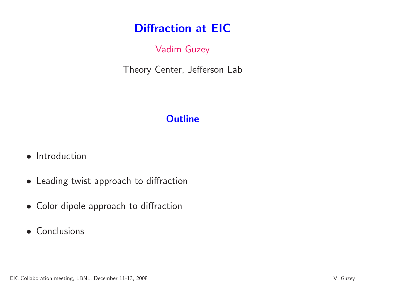# Diffraction at EIC

# Vadim Guzey

Theory Center, Jefferson Lab

# **Outline**

- Introduction
- Leading twist approach to diffraction
- Color dipole approach to diffraction
- Conclusions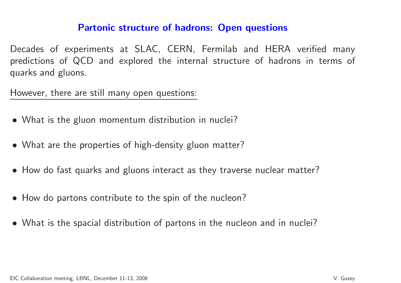#### Partonic structure of hadrons: Open questions

Decades of experiments at SLAC, CERN, Fermilab and HERA verified many predictions of QCD and explored the internal structure of hadrons in terms of quarks and <sup>g</sup>luons.

However, there are still many open questions:

- What is the <sup>g</sup>luon momentum distribution in nuclei?
- What are the properties of high-density <sup>g</sup>luon matter?
- How do fast quarks and <sup>g</sup>luons interact as they traverse nuclear matter?
- How do partons contribute to the spin of the nucleon?
- What is the spacial distribution of partons in the nucleon and in nuclei?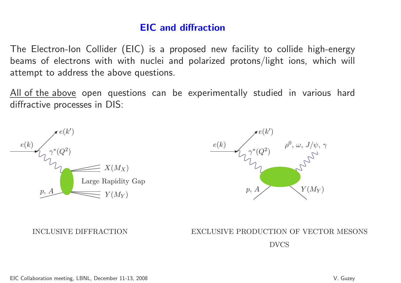## EIC and diffraction

The Electron-Ion Collider (EIC) is <sup>a</sup> proposed new facility to collide high-energy beams of electrons with with nuclei and polarized protons/light ions, which will attempt to address the above questions.

<u>All of the above</u> open questions can be experimentally studied in various hard diffractive processes in DIS:





INCLUSIVE DIFFRACTION EXCLUSIVE PRODUCTION OF VECTOR MESONSDVCS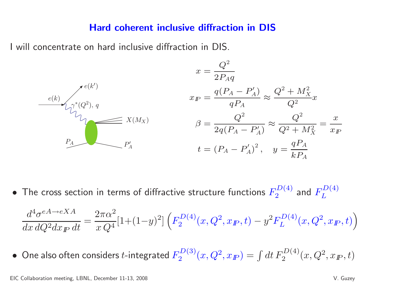#### Hard coherent inclusive diffraction in DIS

<sup>I</sup> will concentrate on hard inclusive diffraction in DIS.



 $\bullet\,$  The cross section in terms of diffractive structure functions  $F_2^{D(4)}$  $\frac{D(4)}{2}$  and  $F_L^{D(4)}$ 

$$
\frac{d^4\sigma^{eA \to eXA}}{dx\,dQ^2dx_{I\!\!P}}\,dt = \frac{2\pi\alpha^2}{x\,Q^4}[1+(1-y)^2]\left(F_2^{D(4)}(x,Q^2,x_{I\!\!P},t) - y^2F_L^{D(4)}(x,Q^2,x_{I\!\!P},t)\right)
$$

 $\bullet \,$  One also often considers  $t$ -integrated  $F_2^{D(3)}(x,Q^2,x_{I\!\!P})=$  $\int dt F_2^{D(4)}(x,Q^2,x_{I\!\!P},t)$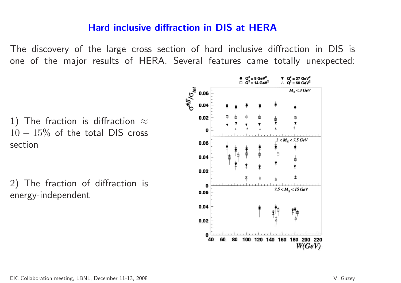## Hard inclusive diffraction in DIS at HERA

The discovery of the large cross section of hard inclusive diffraction in DIS isone of the major results of HERA. Several features came totally unexpected:

1) The fraction is diffraction  $\approx$  $10-15\%$  of the total DIS cro section $15\%$  of the total DIS cross<br>tian

2) The fraction of diffraction isenergy-independent

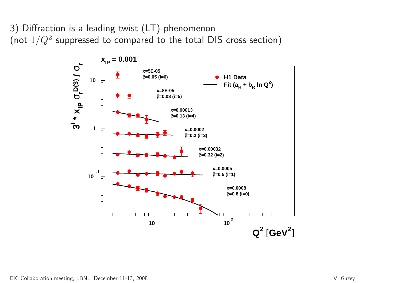3) Diffraction is <sup>a</sup> leading twist (LT) phenomenon(not  $1/Q^2$  suppressed to compared to the total DIS cross section)

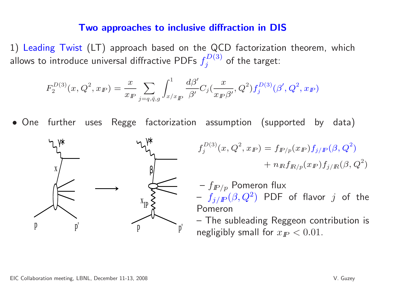#### Two approaches to inclusive diffraction in DIS

1) Leading Twist (LT) approach based on the QCD factorization theorem, which allows to introduce universal diffractive PDFs  $f_j^{D(3)}$  of the target:

$$
F_2^{D(3)}(x,Q^2,x_{I\!\!P}) = \frac{x}{x_{I\!\!P}}\sum_{j=q,\bar{q},g}\int_{x/x_{I\!\!P}}^1 \frac{d\beta'}{\beta'} C_j(\frac{x}{x_{I\!\!P}\beta'},Q^2) f_j^{D(3)}(\beta',Q^2,x_{I\!\!P})
$$

• One further uses Regge factorization assumption (supported by data)



$$
f_j^{D(3)}(x, Q^2, x_{I\!\!P}) = f_{I\!\!P/p}(x_{I\!\!P}) f_{j/I\!\!P}(\beta, Q^2) + n_{I\!\!R} f_{I\!\!R/p}(x_{I\!\!P}) f_{j/I\!\!R}(\beta, Q^2)
$$

 $f_{I\!\!P/p}$  Pomeron flux Pomeron $f_{j/{I\!\!P}}(\beta,Q^2$  $\left( \begin{matrix} 2 \end{matrix} \right)$  PDF of flavor  $j$  of the

 $-$  The c The subleading Reggeon contribution isnegligibly small for  $x_{I\!\!P} < 0.01.$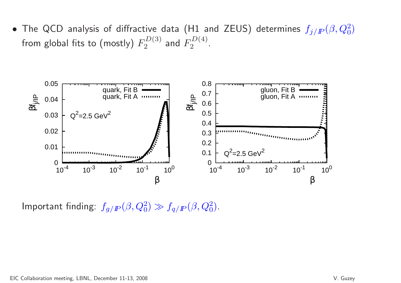• The QCD analysis of diffractive data (H1 and ZEUS) determines  $f_{j/P}(\beta,Q_0^2)$ from global fits to (mostly)  $F_2^{D(3)}$  and  $F_2^{D(4)}$ .



Important finding:  $f_{g/I\!\!P}(\beta,Q_0^2) \gg f_{q/I\!\!P}(\beta,Q_0^2).$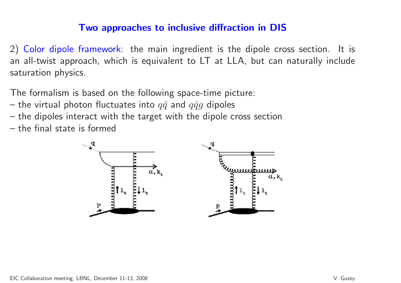## Two approaches to inclusive diffraction in DIS

2) Color dipole framework: the main ingredient is the dipole cross section. It is an all-twist approach, which is equivalent to LT at LLA, but can naturally includesaturation physics.

The formalism is based on the following space-time picture:

- the virtual photon fluctuates into  $q\bar{q}$  and  $q\bar{q}g$  dipoles
- $-$  the dinoles interact with the target with the dipoles interact with the target with the dipole cross section
- the final state is formed

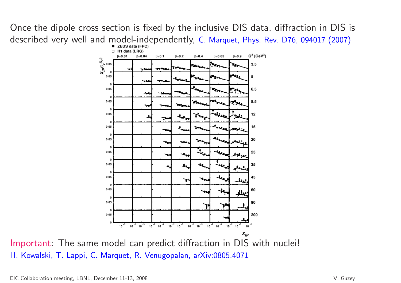Once the dipole cross section is fixed by the inclusive DIS data, diffraction in DIS isdescribed very well and model-independently, C. Marquet, Phys. Rev. D76, 094017 (2007)



H. Kowalski, T. Lappi, C. Marquet, R. Venugopalan, arXiv:0805.4071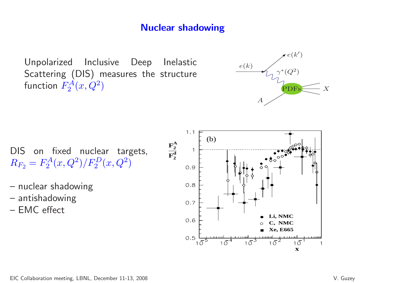## Nuclear shadowing

Unpolarized Inclusive Deep Inelastic Scattering (DIS) measures the structurefunction  $F_2^A(x,Q^2)$ 



DIS on fixed nuclear targets,  $R_{F_2} = F_2^A(x, Q^2)/F_2^D(x, Q^2)$ 

- nuclear shadowing
- antishadowing
- EMC effect

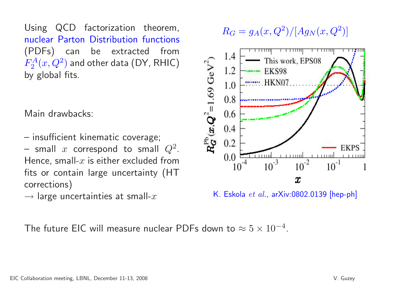Using QCD factorization theorem, nuclear Parton Distribution functions(PDFs) can be extracted from $F_2^A(x,Q^2)$  and other data (DY, RHK by <sup>g</sup>lobal fits.  $\mathcal{Z}^{A}(x,Q^2)$  $^2)$  and other data (DY, RHIC)

Main drawbacks:

 $\mathcal{L}_{\mathcal{A}}$  insufficient kinematic coverage;  $\mathcal{L}_{\mathcal{A}}$ small x correspond to small  $Q^2$ Hence, small- $x$  is either excluded from . fits or contain large uncertainty (HTcorrections)

 $\rightarrow$  large uncertainties at small- $x$ 

$$
R_G = g_A(x, Q^2) / [Ag_N(x, Q^2)]
$$



K. Eskola  ${\it et \ al.},$  ar ${\sf Xiv:}$ 0802.0139  $[{\sf hep\text{-}ph}]$ 

The future EIC will measure nuclear PDFs down to  $\approx 5\times 10^{-4}$ .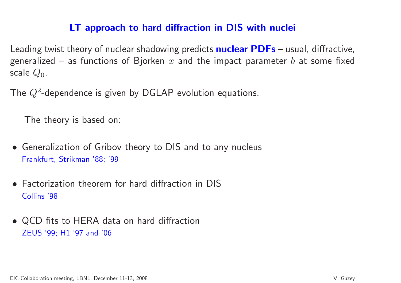## LT approach to hard diffraction in DIS with nuclei

Leading twist theory of nuclear shadowing predicts  $\mathsf{nuclear}\ \mathsf{PDFs}$  – usual, diffractive, generalized — as functions of Bjorken  $x$  and the impact parameter  $b$  at some fixed scale  $Q_0$ .

The  $Q^2$ -dependence is given by DGLAP evolution equations.

The theory is based on:

- Generalization of Gribov theory to DIS and to any nucleus Frankfurt, Strikman '88; '99
- Factorization theorem for hard diffraction in DISCollins '98
- QCD fits to HERA data on hard diffractionZEUS '99; H1 '97 and '06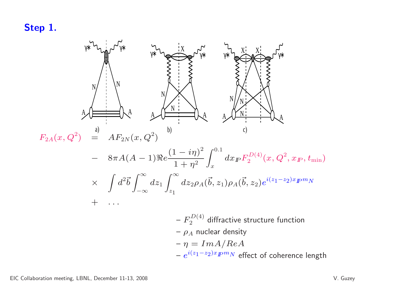### Step 1.

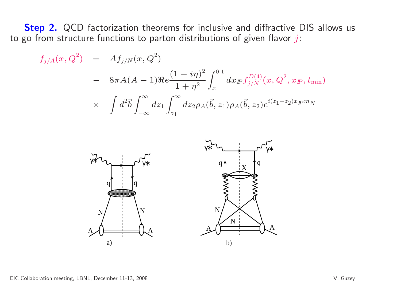**Step 2.** QCD factorization theorems for inclusive and diffractive DIS allows us to go from structure functions to parton distributions of given flavor  $j\!$ :

$$
f_{j/A}(x, Q^2) = Af_{j/N}(x, Q^2)
$$
  
-  $8\pi A(A - 1)Re \frac{(1 - i\eta)^2}{1 + \eta^2} \int_x^{0.1} dx_F f_{j/N}^{D(4)}(x, Q^2, x_F, t_{\min})$   
  $\times \int d^2\vec{b} \int_{-\infty}^{\infty} dz_1 \int_{z_1}^{\infty} dz_2 \rho_A(\vec{b}, z_1) \rho_A(\vec{b}, z_2) e^{i(z_1 - z_2)x_F m_N}$ 

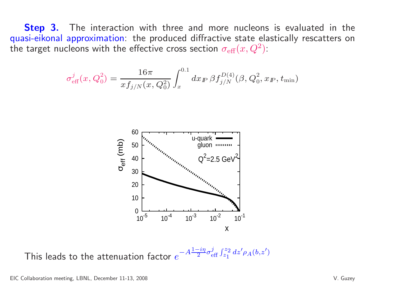**Step 3.** The interaction with three and more nucleons is evaluated in the quasi-eikonal approximation: the produced diffractive state elastically rescatters onthe target nucleons with the effective cross section  $\sigma_{\rm eff}(x,Q^2)$ :

$$
\sigma_{\text{eff}}^j(x, Q_0^2) = \frac{16\pi}{x f_{j/N}(x, Q_0^2)} \int_x^{0.1} dx_{I\!\!P} \,\beta f_{j/N}^{D(4)}(\beta, Q_0^2, x_{I\!\!P}, t_{\text{min}})
$$



This leads to the attenuation factor  $e^{-A\frac{1-i\eta}{2}\sigma^j_{\text{eff}}\int_{z_1}^{z_2}dz' \rho_A(b,z')}$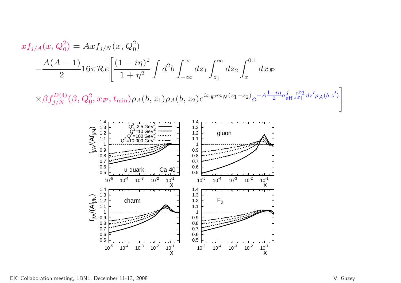$$
xf_{j/A}(x, Q_0^2) = Ax f_{j/N}(x, Q_0^2)
$$
  

$$
-\frac{A(A-1)}{2} 16\pi \mathcal{R}e \left[ \frac{(1-i\eta)^2}{1+\eta^2} \int d^2b \int_{-\infty}^{\infty} dz_1 \int_{z_1}^{\infty} dz_2 \int_x^{0.1} dx_P
$$
  

$$
\times \beta f_{j/N}^{D(4)}(\beta, Q_0^2, x_F, t_{\min}) \rho_A(b, z_1) \rho_A(b, z_2) e^{ix} P^m N^{(z_1-z_2)} e^{-A\frac{1-i\eta}{2} \sigma_{eff}^j \int_{z_1}^{z_2} dz' \rho_A(b, z')}
$$

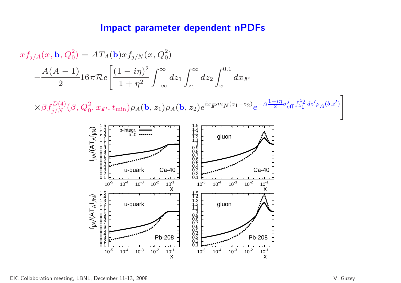#### Impact parameter dependent nPDFs

$$
xf_{j/A}(x, \mathbf{b}, Q_0^2) = AT_A(\mathbf{b})xf_{j/N}(x, Q_0^2)
$$
  

$$
-\frac{A(A-1)}{2}16\pi \mathcal{R}e\left[\frac{(1-i\eta)^2}{1+\eta^2}\int_{-\infty}^{\infty} dz_1 \int_{z_1}^{\infty} dz_2 \int_x^{0.1} dx \mathbb{P} \times \beta f_{j/N}^{D(4)}(\beta, Q_0^2, x_{\mathbb{P}}, t_{\min})\rho_A(\mathbf{b}, z_1)\rho_A(\mathbf{b}, z_2)e^{ix} \mathbb{P}^m N^{(z_1-z_2)}e^{-A\frac{1-i\eta}{2}\sigma_{\text{eff}}^j \int_{z_1}^{z_2} dz' \rho_A(b, z')} \right]
$$

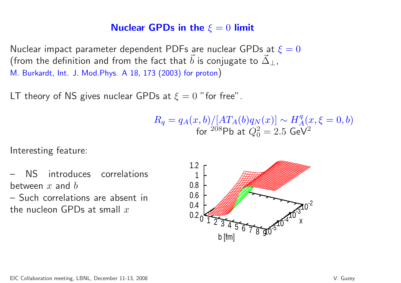# Nuclear GPDs in the  $\xi = 0$  limit

Nuclear impact parameter dependent PDFs are nuclear GPDs at  $\xi=0$ (from the definition and from the fact that  $\vec{b}$  is conjugate to  $\vec{\Delta}$ ⊥,M. Burkardt, Int. J. Mod.Phys. <sup>A</sup> 18, <sup>173</sup> (2003) for proton)

 $\mathsf{L} \mathsf{T}$  theory of  $\mathsf{NS}$  gives nuclear  $\mathsf{GPDs}$  at  $\xi = 0$  " for free".

$$
R_q = q_A(x, b) / [AT_A(b)q_N(x)] \sim H_A^q(x, \xi = 0, b)
$$
  
for <sup>208</sup>Pb at  $Q_0^2 = 2.5$  GeV<sup>2</sup>

Interesting feature:

 NS introduces correlationsbetween  $x$  and  $b$ 

 Such correlations are absent inthe nucleon GPDs at small  $x$ 

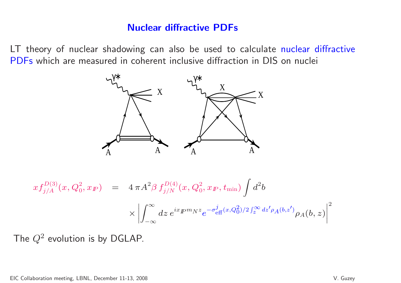### Nuclear diffractive PDFs

LT theory of nuclear shadowing can also be used to calculate nuclear diffractive PDFs which are measured in coherent inclusive diffraction in DIS on nuclei



$$
xf_{j/A}^{D(3)}(x, Q_0^2, x_{I\!\!P}) = 4 \pi A^2 \beta f_{j/N}^{D(4)}(x, Q_0^2, x_{I\!\!P}, t_{\text{min}}) \int d^2b
$$
  
 
$$
\times \left| \int_{-\infty}^{\infty} dz \, e^{ix} F^{m} N^z e^{-\sigma_{\text{eff}}^j(x, Q_0^2)/2 \int_z^{\infty} dz' \rho_A(b, z')} \rho_A(b, z) \right|^2
$$

The  $Q^2$  evolution is by DGLAP.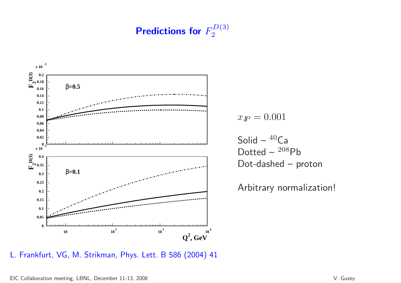Predictions for  $F_2^{D(3)}$ 



$$
x_{I\!\!P}=0.001
$$

 $\mathsf{Solid-}\ ^{40}\mathsf{Ca}$ Dotted –  $^{208}Pb$ Dot-dashed – proton

Arbitrary normalization!

L. Frankfurt, VG, M. Strikman, Phys. Lett. <sup>B</sup> <sup>586</sup> (2004) <sup>41</sup>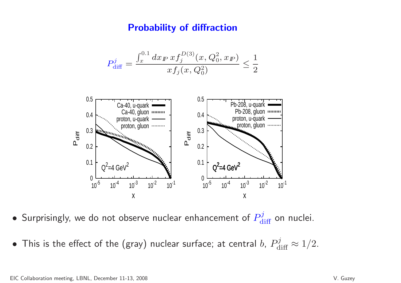### Probability of diffraction

$$
P_{\text{diff}}^j = \frac{\int_x^{0.1} dx_{\text{F}} x f_j^{D(3)}(x, Q_0^2, x_{\text{F}})}{x f_j(x, Q_0^2)} \le \frac{1}{2}
$$



• $\bullet$  Surprisingly, we do not observe nuclear enhancement of  $P^j_{\rm diff}$  on nuclei.

• $\bullet$  This is the effect of the (gray) nuclear surface; at central  $b$ ,  $P^j_{{\rm diff}} \approx 1/2.$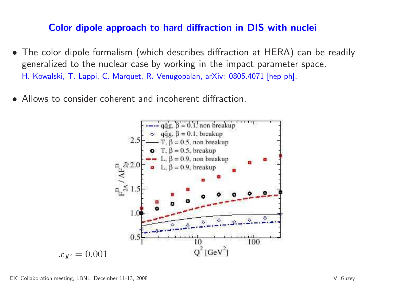### Color dipole approach to hard diffraction in DIS with nuclei

- The color dipole formalism (which describes diffraction at HERA) can be readily generalized to the nuclear case by working in the impact parameter space. H. Kowalski, T. Lappi, C. Marquet, R. Venugopalan, arXiv: 0805.4071 [hep-ph].
- •Allows to consider coherent and incoherent diffraction.

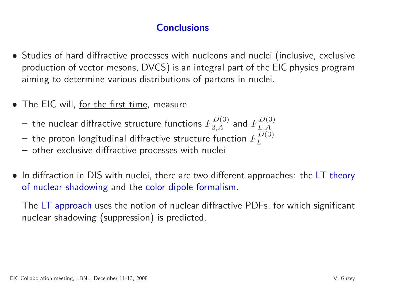# **Conclusions**

- Studies of hard diffractive processes with nucleons and nuclei (inclusive, exclusive production of vector mesons, DVCS) is an integral part of the EIC physics programaiming to determine various distributions of partons in nuclei.
- $\bullet\,$  The EIC will, <u>for the first time,</u> measure
	- the nuclear diffractive structure functions  $F_{2,A}^{D(3)}$  and  $F_{L,A}^{D(3)}$
	- the proton longitudinal diffractive structure function  $F_L^{D(3)}$
	- other exclusive diffractive processes with nuclei
- $\bullet\,$  In diffraction in DIS with nuclei, there are two different approaches: the  $LT$  theory of nuclear shadowing and the color dipole formalism.

The LT approach uses the notion of nuclear diffractive PDFs, for which significant nuclear shadowing (suppression) is predicted.